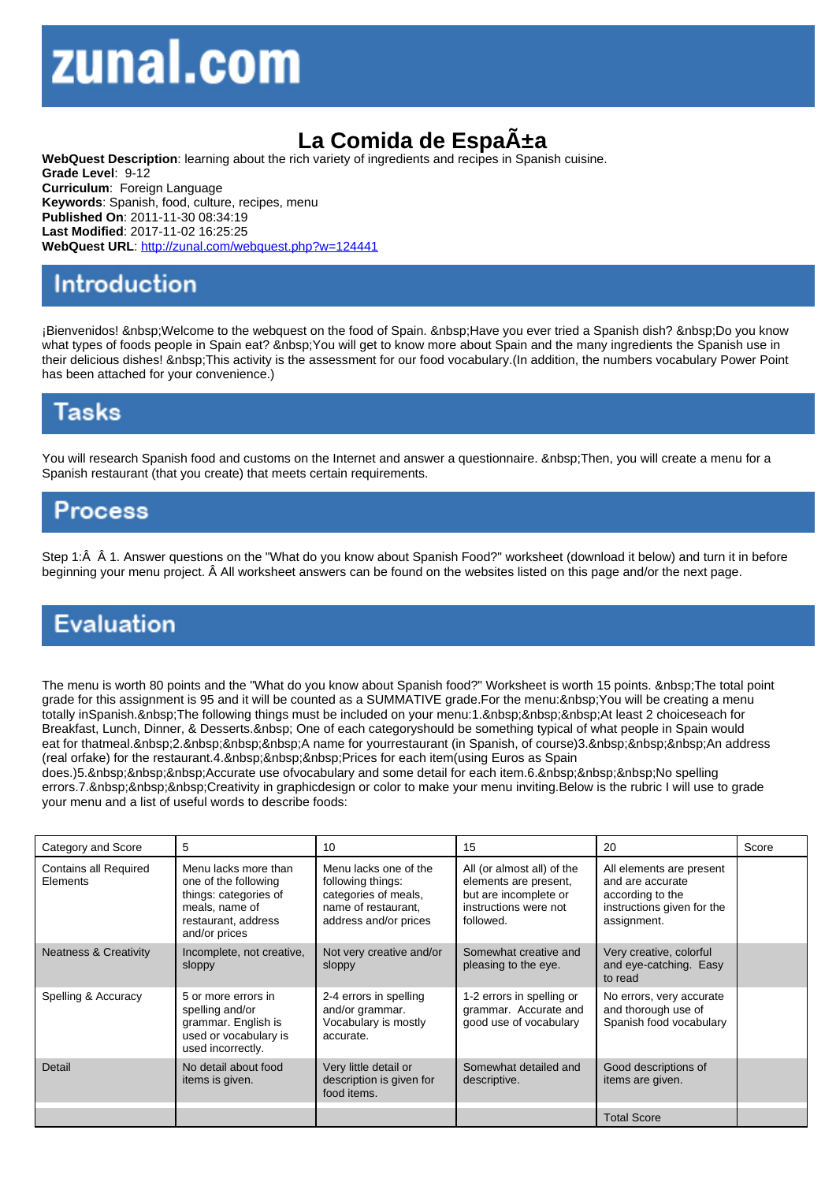## La Comida de Espa±a

WebQuest Description: learning about the rich variety of ingredients and recipes in Spanish cuisine. Grade Level: 9-12 Curriculum: Foreign Language Keywords: Spanish, food, culture, recipes, menu Published On: 2011-11-30 08:34:19 Last Modified: 2017-11-02 16:25:25 WebQuest URL: http://zunal.com/webquest.php?w=124441

¡Bienvenidos! Welcome to the webquest on the food of Spain. Have you ever tried a Spanish dish? Do you know what types of foods people in Spain eat? You will get to know more about Spain and the many ingredients the Spanish use in their delicious dishes! This activity is the assessment for our food vocabulary. (In addition, the numbers vocabulary Power Point has been attached for your convenience.)

You will research Spanish food and customs on the Internet and answer a questionnaire. Then, you will create a menu for a Spanish restaurant (that you create) that meets certain requirements.

Step 1:Â Â 1. Answer questions on the "What do you know about Spanish Food?" worksheet (download it below) and turn it in before beginning your menu project. Â All worksheet answers can be found on the websites listed on this page and/or the next page.

The menu is worth 80 points and the "What do you know about Spanish food?" Worksheet is worth 15 points. The total point grade for this assignment is 95 and it will be counted as a SUMMATIVE grade.For the menu:&nbsp:You will be creating a menu totally inSpanish. The following things must be included on your menu: 1. At least 2 choiceseach for Breakfast, Lunch, Dinner, & Desserts. One of each categoryshould be something typical of what people in Spain would eat for thatmeal. 2. A name for yourrestaurant (in Spanish, of course)3. An address (real orfake) for the restaurant.4. Prices for each item(using Euros as Spain

does.)5. Accurate use ofvocabulary and some detail for each item.6. No spelling errors.7. Creativity in graphicdesign or color to make your menu inviting.Below is the rubric I will use to grade your menu and a list of useful words to describe foods:

| Category and Score                       | 5                                                                                                                               | 10                                                                                                                 | 15                                                                                                                 | 20                                                                                                            | Score |
|------------------------------------------|---------------------------------------------------------------------------------------------------------------------------------|--------------------------------------------------------------------------------------------------------------------|--------------------------------------------------------------------------------------------------------------------|---------------------------------------------------------------------------------------------------------------|-------|
| <b>Contains all Required</b><br>Elements | Menu lacks more than<br>one of the following<br>things: categories of<br>meals, name of<br>restaurant, address<br>and/or prices | Menu lacks one of the<br>following things:<br>categories of meals,<br>name of restaurant.<br>address and/or prices | All (or almost all) of the<br>elements are present,<br>but are incomplete or<br>instructions were not<br>followed. | All elements are present<br>and are accurate<br>according to the<br>instructions given for the<br>assignment. |       |
| <b>Neatness &amp; Creativity</b>         | Incomplete, not creative,<br>sloppy                                                                                             | Not very creative and/or<br>sloppy                                                                                 | Somewhat creative and<br>pleasing to the eye.                                                                      | Very creative, colorful<br>and eye-catching. Easy<br>to read                                                  |       |
| Spelling & Accuracy                      | 5 or more errors in<br>spelling and/or<br>grammar. English is<br>used or vocabulary is<br>used incorrectly.                     | 2-4 errors in spelling<br>and/or grammar.<br>Vocabulary is mostly<br>accurate.                                     | 1-2 errors in spelling or<br>grammar. Accurate and<br>good use of vocabulary                                       | No errors, very accurate<br>and thorough use of<br>Spanish food vocabulary                                    |       |
| Detail                                   | No detail about food<br>items is given.                                                                                         | Very little detail or<br>description is given for<br>food items.                                                   | Somewhat detailed and<br>descriptive.                                                                              | Good descriptions of<br>items are given.                                                                      |       |
|                                          |                                                                                                                                 |                                                                                                                    |                                                                                                                    | <b>Total Score</b>                                                                                            |       |